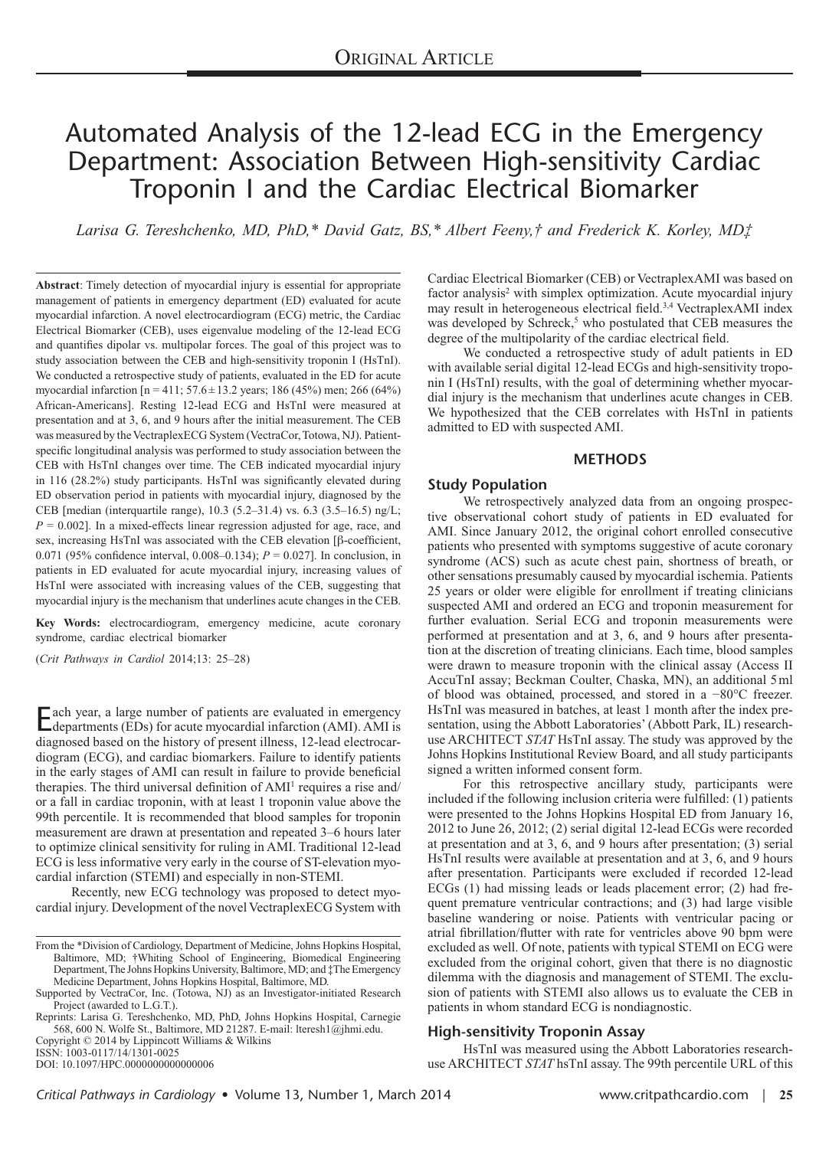# Automated Analysis of the 12-lead ECG in the Emergency Department: Association Between High-sensitivity Cardiac Troponin I and the Cardiac Electrical Biomarker

*Larisa G. Tereshchenko, MD, PhD,\* David Gatz, BS,\* Albert Feeny,† and Frederick K. Korley, MD‡*

**Abstract**: Timely detection of myocardial injury is essential for appropriate management of patients in emergency department (ED) evaluated for acute myocardial infarction. A novel electrocardiogram (ECG) metric, the Cardiac Electrical Biomarker (CEB), uses eigenvalue modeling of the 12-lead ECG and quantifies dipolar vs. multipolar forces. The goal of this project was to study association between the CEB and high-sensitivity troponin I (HsTnI). We conducted a retrospective study of patients, evaluated in the ED for acute myocardial infarction [n = 411; 57.6±13.2 years; 186 (45%) men; 266 (64%) African-Americans]. Resting 12-lead ECG and HsTnI were measured at presentation and at 3, 6, and 9 hours after the initial measurement. The CEB was measured by the VectraplexECG System (VectraCor, Totowa, NJ). Patientspecific longitudinal analysis was performed to study association between the CEB with HsTnI changes over time. The CEB indicated myocardial injury in 116 (28.2%) study participants. HsTnI was significantly elevated during ED observation period in patients with myocardial injury, diagnosed by the CEB [median (interquartile range), 10.3 (5.2–31.4) vs. 6.3 (3.5–16.5) ng/L;  $P = 0.002$ . In a mixed-effects linear regression adjusted for age, race, and sex, increasing HsTnI was associated with the CEB elevation [β-coefficient, 0.071 (95% confidence interval, 0.008–0.134);  $P = 0.027$ ]. In conclusion, in patients in ED evaluated for acute myocardial injury, increasing values of HsTnI were associated with increasing values of the CEB, suggesting that myocardial injury is the mechanism that underlines acute changes in the CEB.

**Key Words:** electrocardiogram, emergency medicine, acute coronary syndrome, cardiac electrical biomarker

(*Crit Pathways in Cardiol* 2014;13: 25–28)

Each year, a large number of patients are evaluated in emergency departments (EDs) for acute myocardial infarction (AMI). AMI is diagnosed based on the history of present illness, 12-lead electrocardiogram (ECG), and cardiac biomarkers. Failure to identify patients in the early stages of AMI can result in failure to provide beneficial therapies. The third universal definition of AMI<sup>1</sup> requires a rise and/ or a fall in cardiac troponin, with at least 1 troponin value above the 99th percentile. It is recommended that blood samples for troponin measurement are drawn at presentation and repeated 3–6 hours later to optimize clinical sensitivity for ruling in AMI. Traditional 12-lead ECG is less informative very early in the course of ST-elevation myocardial infarction (STEMI) and especially in non-STEMI.

Recently, new ECG technology was proposed to detect myocardial injury. Development of the novel VectraplexECG System with

Copyright © 2014 by Lippincott Williams & Wilkins ISSN: 1003-0117/14/1301-0025

DOI: 10.1097/HPC.0000000000000006

Cardiac Electrical Biomarker (CEB) or VectraplexAMI was based on factor analysis<sup>2</sup> with simplex optimization. Acute myocardial injury may result in heterogeneous electrical field.3,4 VectraplexAMI index was developed by Schreck,<sup>5</sup> who postulated that CEB measures the degree of the multipolarity of the cardiac electrical field.

We conducted a retrospective study of adult patients in ED with available serial digital 12-lead ECGs and high-sensitivity troponin I (HsTnI) results, with the goal of determining whether myocardial injury is the mechanism that underlines acute changes in CEB. We hypothesized that the CEB correlates with HsTnI in patients admitted to ED with suspected AMI.

### **METHODS**

### **Study Population**

We retrospectively analyzed data from an ongoing prospective observational cohort study of patients in ED evaluated for AMI. Since January 2012, the original cohort enrolled consecutive patients who presented with symptoms suggestive of acute coronary syndrome (ACS) such as acute chest pain, shortness of breath, or other sensations presumably caused by myocardial ischemia. Patients 25 years or older were eligible for enrollment if treating clinicians suspected AMI and ordered an ECG and troponin measurement for further evaluation. Serial ECG and troponin measurements were performed at presentation and at 3, 6, and 9 hours after presentation at the discretion of treating clinicians. Each time, blood samples were drawn to measure troponin with the clinical assay (Access II AccuTnI assay; Beckman Coulter, Chaska, MN), an additional 5ml of blood was obtained, processed, and stored in a −80°C freezer. HsTnI was measured in batches, at least 1 month after the index presentation, using the Abbott Laboratories' (Abbott Park, IL) researchuse ARCHITECT *STAT* HsTnI assay. The study was approved by the Johns Hopkins Institutional Review Board, and all study participants signed a written informed consent form.

For this retrospective ancillary study, participants were included if the following inclusion criteria were fulfilled: (1) patients were presented to the Johns Hopkins Hospital ED from January 16, 2012 to June 26, 2012; (2) serial digital 12-lead ECGs were recorded at presentation and at 3, 6, and 9 hours after presentation; (3) serial HsTnI results were available at presentation and at 3, 6, and 9 hours after presentation. Participants were excluded if recorded 12-lead ECGs (1) had missing leads or leads placement error; (2) had frequent premature ventricular contractions; and (3) had large visible baseline wandering or noise. Patients with ventricular pacing or atrial fibrillation/flutter with rate for ventricles above 90 bpm were excluded as well. Of note, patients with typical STEMI on ECG were excluded from the original cohort, given that there is no diagnostic dilemma with the diagnosis and management of STEMI. The exclusion of patients with STEMI also allows us to evaluate the CEB in patients in whom standard ECG is nondiagnostic.

### **High-sensitivity Troponin Assay**

HsTnI was measured using the Abbott Laboratories researchuse ARCHITECT *STAT* hsTnI assay. The 99th percentile URL of this

From the \*Division of Cardiology, Department of Medicine, Johns Hopkins Hospital, Baltimore, MD; †Whiting School of Engineering, Biomedical Engineering Department, The Johns Hopkins University, Baltimore, MD; and ‡The Emergency Medicine Department, Johns Hopkins Hospital, Baltimore, MD.

Supported by VectraCor, Inc. (Totowa, NJ) as an Investigator-initiated Research Project (awarded to L.G.T.).

Reprints: Larisa G. Tereshchenko, MD, PhD, Johns Hopkins Hospital, Carnegie 568, 600 N. Wolfe St., Baltimore, MD 21287. E-mail: [lteresh1@jhmi.edu](mailto:lteresh1@jhmi.edu).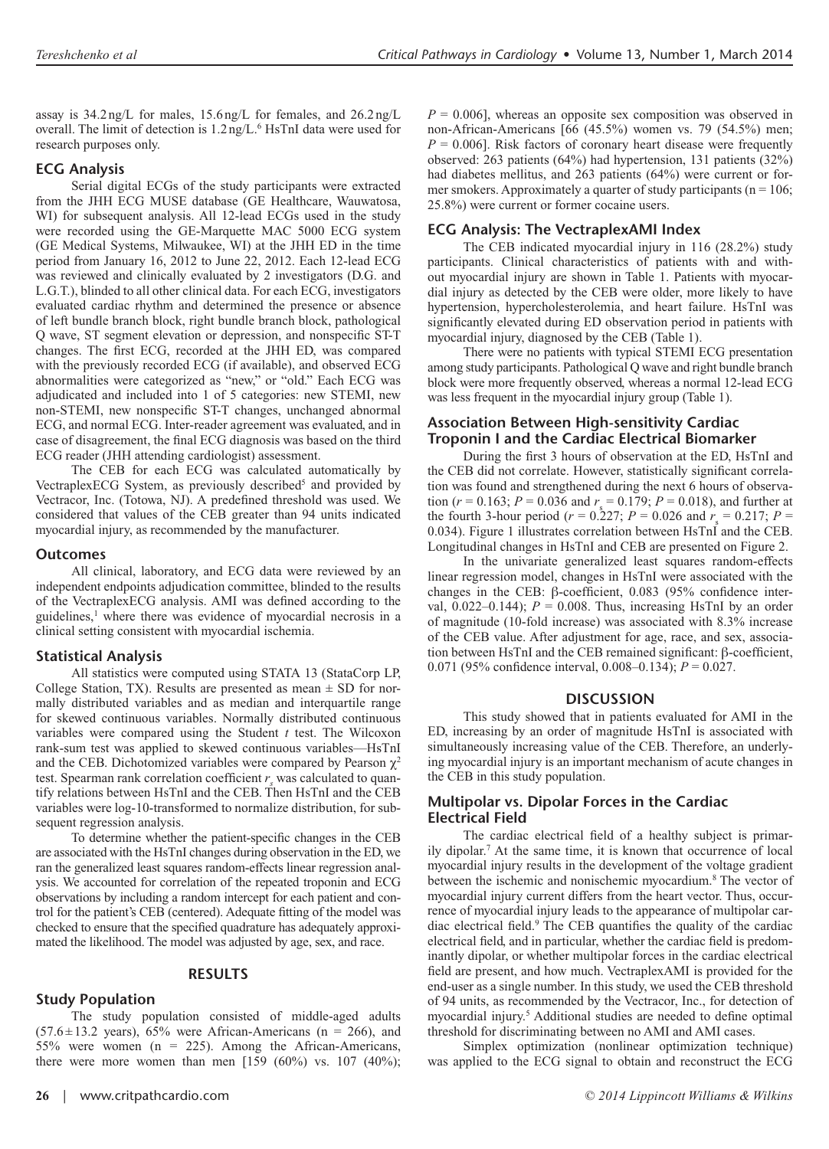assay is 34.2ng/L for males, 15.6ng/L for females, and 26.2ng/L overall. The limit of detection is 1.2 ng/L. 6 HsTnI data were used for research purposes only.

### **ECG Analysis**

Serial digital ECGs of the study participants were extracted from the JHH ECG MUSE database (GE Healthcare, Wauwatosa, WI) for subsequent analysis. All 12-lead ECGs used in the study were recorded using the GE-Marquette MAC 5000 ECG system (GE Medical Systems, Milwaukee, WI) at the JHH ED in the time period from January 16, 2012 to June 22, 2012. Each 12-lead ECG was reviewed and clinically evaluated by 2 investigators (D.G. and L.G.T.), blinded to all other clinical data. For each ECG, investigators evaluated cardiac rhythm and determined the presence or absence of left bundle branch block, right bundle branch block, pathological Q wave, ST segment elevation or depression, and nonspecific ST-T changes. The first ECG, recorded at the JHH ED, was compared with the previously recorded ECG (if available), and observed ECG abnormalities were categorized as "new," or "old." Each ECG was adjudicated and included into 1 of 5 categories: new STEMI, new non-STEMI, new nonspecific ST-T changes, unchanged abnormal ECG, and normal ECG. Inter-reader agreement was evaluated, and in case of disagreement, the final ECG diagnosis was based on the third ECG reader (JHH attending cardiologist) assessment.

The CEB for each ECG was calculated automatically by VectraplexECG System, as previously described<sup>5</sup> and provided by Vectracor, Inc. (Totowa, NJ). A predefined threshold was used. We considered that values of the CEB greater than 94 units indicated myocardial injury, as recommended by the manufacturer.

### **Outcomes**

All clinical, laboratory, and ECG data were reviewed by an independent endpoints adjudication committee, blinded to the results of the VectraplexECG analysis. AMI was defined according to the guidelines,<sup>1</sup> where there was evidence of myocardial necrosis in a clinical setting consistent with myocardial ischemia.

### **Statistical Analysis**

All statistics were computed using STATA 13 (StataCorp LP, College Station, TX). Results are presented as mean  $\pm$  SD for normally distributed variables and as median and interquartile range for skewed continuous variables. Normally distributed continuous variables were compared using the Student *t* test. The Wilcoxon rank-sum test was applied to skewed continuous variables—HsTnI and the CEB. Dichotomized variables were compared by Pearson  $\chi^2$ test. Spearman rank correlation coefficient  $r<sub>s</sub>$  was calculated to quantify relations between HsTnI and the CEB. Then HsTnI and the CEB variables were log-10-transformed to normalize distribution, for subsequent regression analysis.

To determine whether the patient-specific changes in the CEB are associated with the HsTnI changes during observation in the ED, we ran the generalized least squares random-effects linear regression analysis. We accounted for correlation of the repeated troponin and ECG observations by including a random intercept for each patient and control for the patient's CEB (centered). Adequate fitting of the model was checked to ensure that the specified quadrature has adequately approximated the likelihood. The model was adjusted by age, sex, and race.

### **RESULTS**

# **Study Population**

### The study population consisted of middle-aged adults  $(57.6 \pm 13.2 \text{ years})$ ,  $65\%$  were African-Americans (n = 266), and 55% were women  $(n = 225)$ . Among the African-Americans, there were more women than men  $[159 (60\%)$  vs.  $107 (40\%)$ ;

 $P = 0.006$ , whereas an opposite sex composition was observed in non-African-Americans [66 (45.5%) women vs. 79 (54.5%) men;  $P = 0.006$ ]. Risk factors of coronary heart disease were frequently observed: 263 patients (64%) had hypertension, 131 patients (32%) had diabetes mellitus, and 263 patients (64%) were current or former smokers. Approximately a quarter of study participants ( $n = 106$ ; 25.8%) were current or former cocaine users.

# **ECG Analysis: The VectraplexAMI Index**

The CEB indicated myocardial injury in 116 (28.2%) study participants. Clinical characteristics of patients with and without myocardial injury are shown in Table 1. Patients with myocardial injury as detected by the CEB were older, more likely to have hypertension, hypercholesterolemia, and heart failure. HsTnI was significantly elevated during ED observation period in patients with myocardial injury, diagnosed by the CEB (Table 1).

There were no patients with typical STEMI ECG presentation among study participants. Pathological Q wave and right bundle branch block were more frequently observed, whereas a normal 12-lead ECG was less frequent in the myocardial injury group (Table 1).

## **Association Between High-sensitivity Cardiac Troponin I and the Cardiac Electrical Biomarker**

During the first 3 hours of observation at the ED, HsTnI and the CEB did not correlate. However, statistically significant correlation was found and strengthened during the next 6 hours of observation ( $r = 0.163$ ;  $P = 0.036$  and  $r_s = 0.179$ ;  $P = 0.018$ ), and further at the fourth 3-hour period ( $r = 0.227$ ;  $P = 0.026$  and  $r_s = 0.217$ ;  $P =$ 0.034). Figure 1 illustrates correlation between HsTnI and the CEB. Longitudinal changes in HsTnI and CEB are presented on Figure 2.

In the univariate generalized least squares random-effects linear regression model, changes in HsTnI were associated with the changes in the CEB: β-coefficient, 0.083 (95% confidence interval,  $0.022-0.144$ );  $P = 0.008$ . Thus, increasing HsTnI by an order of magnitude (10-fold increase) was associated with 8.3% increase of the CEB value. After adjustment for age, race, and sex, association between HsTnI and the CEB remained significant: β-coefficient, 0.071 (95% confidence interval, 0.008–0.134); *P* = 0.027.

### **DISCUSSION**

This study showed that in patients evaluated for AMI in the ED, increasing by an order of magnitude HsTnI is associated with simultaneously increasing value of the CEB. Therefore, an underlying myocardial injury is an important mechanism of acute changes in the CEB in this study population.

### **Multipolar vs. Dipolar Forces in the Cardiac Electrical Field**

The cardiac electrical field of a healthy subject is primarily dipolar.7 At the same time, it is known that occurrence of local myocardial injury results in the development of the voltage gradient between the ischemic and nonischemic myocardium.<sup>8</sup> The vector of myocardial injury current differs from the heart vector. Thus, occurrence of myocardial injury leads to the appearance of multipolar cardiac electrical field.9 The CEB quantifies the quality of the cardiac electrical field, and in particular, whether the cardiac field is predominantly dipolar, or whether multipolar forces in the cardiac electrical field are present, and how much. VectraplexAMI is provided for the end-user as a single number. In this study, we used the CEB threshold of 94 units, as recommended by the Vectracor, Inc., for detection of myocardial injury.5 Additional studies are needed to define optimal threshold for discriminating between no AMI and AMI cases.

Simplex optimization (nonlinear optimization technique) was applied to the ECG signal to obtain and reconstruct the ECG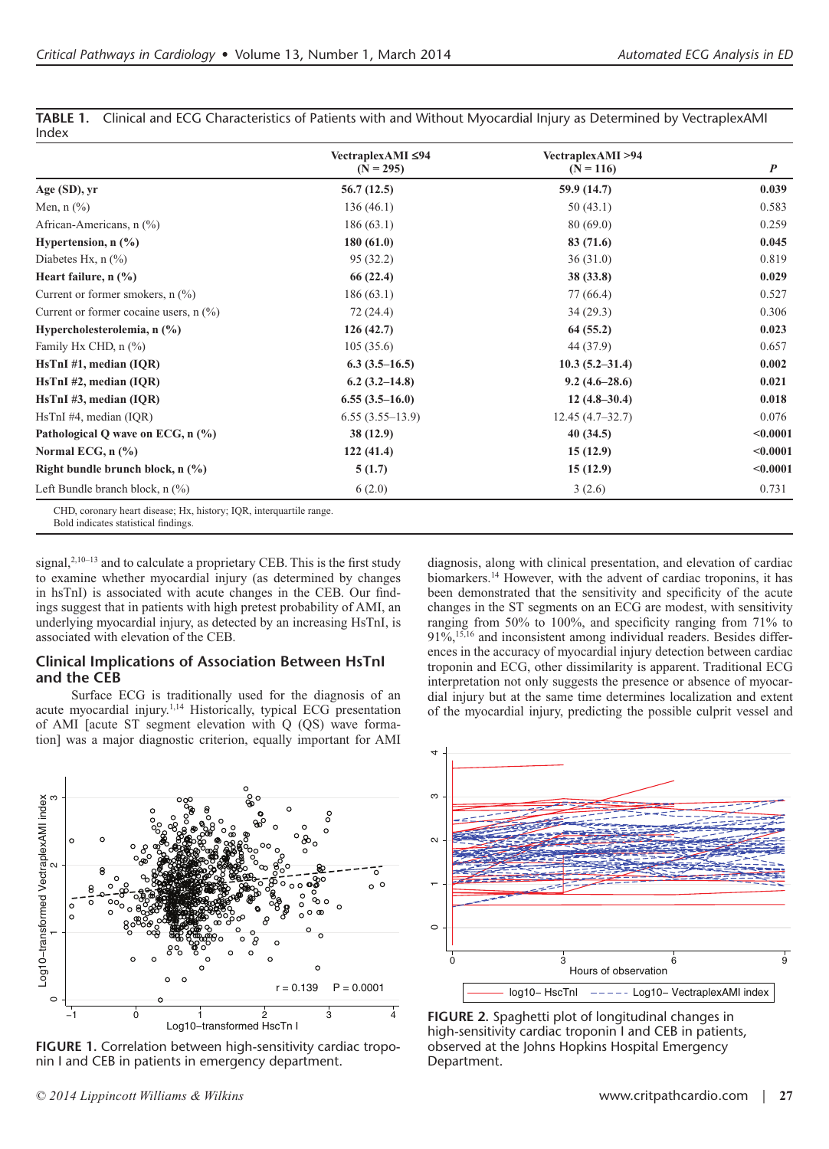|                                          | VectraplexAMI ≤94<br>$(N = 295)$ | VectraplexAMI >94<br>$(N = 116)$ | $\boldsymbol{P}$ |
|------------------------------------------|----------------------------------|----------------------------------|------------------|
| Age (SD), yr                             | 56.7(12.5)                       | 59.9 (14.7)                      | 0.039            |
| Men, $n$ $(\%)$                          | 136(46.1)                        | 50(43.1)                         | 0.583            |
| African-Americans, $n$ (%)               | 186(63.1)                        | 80(69.0)                         | 0.259            |
| Hypertension, $n$ (%)                    | 180(61.0)                        | 83 (71.6)                        | 0.045            |
| Diabetes Hx, $n$ $(\%)$                  | 95(32.2)                         | 36(31.0)                         | 0.819            |
| Heart failure, $n$ (%)                   | 66 (22.4)                        | 38(33.8)                         | 0.029            |
| Current or former smokers, $n$ $(\%)$    | 186(63.1)                        | 77 (66.4)                        | 0.527            |
| Current or former cocaine users, $n$ (%) | 72(24.4)                         | 34(29.3)                         | 0.306            |
| Hypercholesterolemia, n (%)              | 126(42.7)                        | 64(55.2)                         | 0.023            |
| Family Hx CHD, n (%)                     | 105(35.6)                        | 44 (37.9)                        | 0.657            |
| $HsTnI$ #1, median (IQR)                 | $6.3(3.5-16.5)$                  | $10.3(5.2 - 31.4)$               | 0.002            |
| $HsTnI$ #2, median (IQR)                 | $6.2(3.2-14.8)$                  | $9.2(4.6-28.6)$                  | 0.021            |
| $HsTnI \#3$ , median (IQR)               | $6.55(3.5-16.0)$                 | $12(4.8-30.4)$                   | 0.018            |
| $HsTnI$ #4, median (IQR)                 | $6.55(3.55-13.9)$                | $12.45(4.7-32.7)$                | 0.076            |
| Pathological Q wave on ECG, n (%)        | 38(12.9)                         | 40(34.5)                         | < 0.0001         |
| Normal ECG, $n$ $(\% )$                  | 122(41.4)                        | 15(12.9)                         | $0.0001$         |
| Right bundle brunch block, $n$ (%)       | 5(1.7)                           | 15(12.9)                         | < 0.0001         |
| Left Bundle branch block, $n$ $(\%)$     | 6(2.0)                           | 3(2.6)                           | 0.731            |

**TABLE 1.** Clinical and ECG Characteristics of Patients with and Without Myocardial Injury as Determined by VectraplexAMI Index

Bold indicates statistical findings.

signal, $2,10-13$  and to calculate a proprietary CEB. This is the first study to examine whether myocardial injury (as determined by changes in hsTnI) is associated with acute changes in the CEB. Our findings suggest that in patients with high pretest probability of AMI, an underlying myocardial injury, as detected by an increasing HsTnI, is associated with elevation of the CEB.

### **Clinical Implications of Association Between HsTnI and the CEB**

Surface ECG is traditionally used for the diagnosis of an acute myocardial injury.<sup>1,14</sup> Historically, typical ECG presentation of AMI [acute ST segment elevation with Q (QS) wave formation] was a major diagnostic criterion, equally important for AMI





**FIGURE 1.** Correlation between high-sensitivity cardiac troponin I and CEB in patients in emergency department.



**FIGURE 2.** Spaghetti plot of longitudinal changes in high-sensitivity cardiac troponin I and CEB in patients, observed at the Johns Hopkins Hospital Emergency Department.